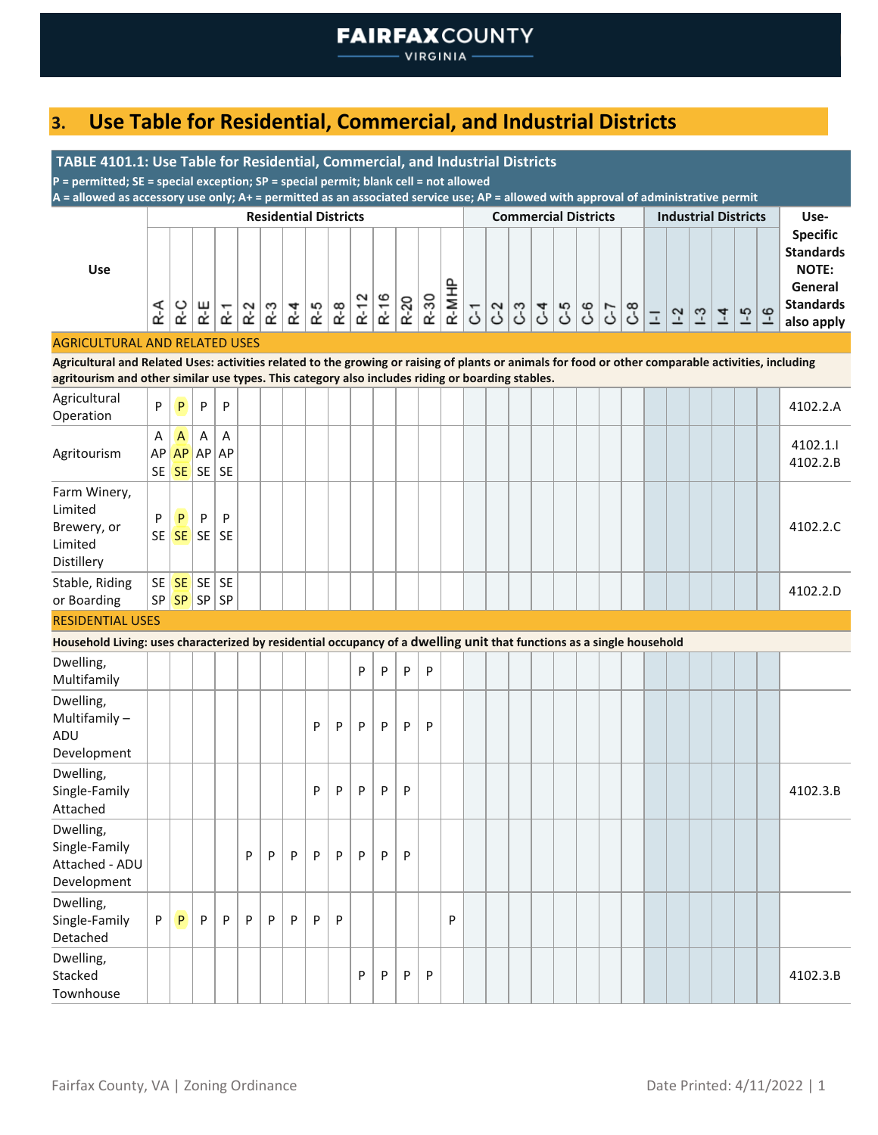# **3. Use Table for Residential, Commercial, and Industrial Districts**

| TABLE 4101.1: Use Table for Residential, Commercial, and Industrial Districts                                                                                                                                                                           |         |                                          |                    |                       |       |     |                              |       |       |      |      |   |                                             |   |                |  |                             |           |                   |               |                             |                |                                |      |                                                                                                  |
|---------------------------------------------------------------------------------------------------------------------------------------------------------------------------------------------------------------------------------------------------------|---------|------------------------------------------|--------------------|-----------------------|-------|-----|------------------------------|-------|-------|------|------|---|---------------------------------------------|---|----------------|--|-----------------------------|-----------|-------------------|---------------|-----------------------------|----------------|--------------------------------|------|--------------------------------------------------------------------------------------------------|
| P = permitted; SE = special exception; SP = special permit; blank cell = not allowed                                                                                                                                                                    |         |                                          |                    |                       |       |     |                              |       |       |      |      |   |                                             |   |                |  |                             |           |                   |               |                             |                |                                |      |                                                                                                  |
| A = allowed as accessory use only; A+ = permitted as an associated service use; AP = allowed with approval of administrative permit                                                                                                                     |         |                                          |                    |                       |       |     | <b>Residential Districts</b> |       |       |      |      |   |                                             |   |                |  | <b>Commercial Districts</b> |           |                   |               | <b>Industrial Districts</b> |                |                                |      | Use-                                                                                             |
| <b>Use</b>                                                                                                                                                                                                                                              | R-A     | R-C                                      | R-E                | $\mathsf{R}\text{-}1$ | $R-2$ | R-3 | $R - 4$                      | $R-5$ | $R-8$ | R-12 | R-16 |   | $\frac{R-20}{R-30}$<br>$\frac{R-30}{R-MHP}$ |   | $\overline{c}$ |  |                             | 333796678 | $\overline{\bot}$ | $\frac{1}{2}$ | $1-3$                       | $\overline{4}$ | $\left  \frac{15}{10} \right $ | $-6$ | <b>Specific</b><br><b>Standards</b><br><b>NOTE:</b><br>General<br><b>Standards</b><br>also apply |
| <b>AGRICULTURAL AND RELATED USES</b>                                                                                                                                                                                                                    |         |                                          |                    |                       |       |     |                              |       |       |      |      |   |                                             |   |                |  |                             |           |                   |               |                             |                |                                |      |                                                                                                  |
| Agricultural and Related Uses: activities related to the growing or raising of plants or animals for food or other comparable activities, including<br>agritourism and other similar use types. This category also includes riding or boarding stables. |         |                                          |                    |                       |       |     |                              |       |       |      |      |   |                                             |   |                |  |                             |           |                   |               |                             |                |                                |      |                                                                                                  |
| Agricultural<br>Operation                                                                                                                                                                                                                               | P       | P                                        | P                  | P                     |       |     |                              |       |       |      |      |   |                                             |   |                |  |                             |           |                   |               |                             |                |                                |      | 4102.2.A                                                                                         |
| Agritourism                                                                                                                                                                                                                                             | A<br>AP | A<br><b>AP</b><br>SE SE                  | Α<br>AP<br>$SE$ SE | A<br>AP               |       |     |                              |       |       |      |      |   |                                             |   |                |  |                             |           |                   |               |                             |                |                                |      | 4102.1.1<br>4102.2.B                                                                             |
| Farm Winery,<br>Limited<br>Brewery, or<br>Limited<br>Distillery                                                                                                                                                                                         | P       | P<br>$SE$ $SE$ $SE$                      | P                  | P<br>  SE             |       |     |                              |       |       |      |      |   |                                             |   |                |  |                             |           |                   |               |                             |                |                                |      | 4102.2.C                                                                                         |
| Stable, Riding<br>or Boarding                                                                                                                                                                                                                           |         | $SE$ $SE$ $SE$ $SE$<br>SP   SP   SP   SP |                    |                       |       |     |                              |       |       |      |      |   |                                             |   |                |  |                             |           |                   |               |                             |                |                                |      | 4102.2.D                                                                                         |
| <b>RESIDENTIAL USES</b>                                                                                                                                                                                                                                 |         |                                          |                    |                       |       |     |                              |       |       |      |      |   |                                             |   |                |  |                             |           |                   |               |                             |                |                                |      |                                                                                                  |
| Household Living: uses characterized by residential occupancy of a dwelling unit that functions as a single household                                                                                                                                   |         |                                          |                    |                       |       |     |                              |       |       |      |      |   |                                             |   |                |  |                             |           |                   |               |                             |                |                                |      |                                                                                                  |
| Dwelling,<br>Multifamily                                                                                                                                                                                                                                |         |                                          |                    |                       |       |     |                              |       |       | P    | P    | P | P                                           |   |                |  |                             |           |                   |               |                             |                |                                |      |                                                                                                  |
| Dwelling,<br>Multifamily-<br>ADU<br>Development                                                                                                                                                                                                         |         |                                          |                    |                       |       |     |                              | P     | P     | P    | P    | P | P                                           |   |                |  |                             |           |                   |               |                             |                |                                |      |                                                                                                  |
| Dwelling,<br>Single-Family<br>Attached                                                                                                                                                                                                                  |         |                                          |                    |                       |       |     |                              | P     | P     | P    | P    | P |                                             |   |                |  |                             |           |                   |               |                             |                |                                |      | 4102.3.B                                                                                         |
| Dwelling,<br>Single-Family<br>Attached - ADU<br>Development                                                                                                                                                                                             |         |                                          |                    |                       | P     | P   | P                            | P     | P     | P    | P    | P |                                             |   |                |  |                             |           |                   |               |                             |                |                                |      |                                                                                                  |
| Dwelling,<br>Single-Family<br>Detached                                                                                                                                                                                                                  | P       | P                                        | P                  | P                     | P     | P   | P                            | P     | P     |      |      |   |                                             | P |                |  |                             |           |                   |               |                             |                |                                |      |                                                                                                  |
| Dwelling,<br>Stacked<br>Townhouse                                                                                                                                                                                                                       |         |                                          |                    |                       |       |     |                              |       |       | P    | P    | P | P                                           |   |                |  |                             |           |                   |               |                             |                |                                |      | 4102.3.B                                                                                         |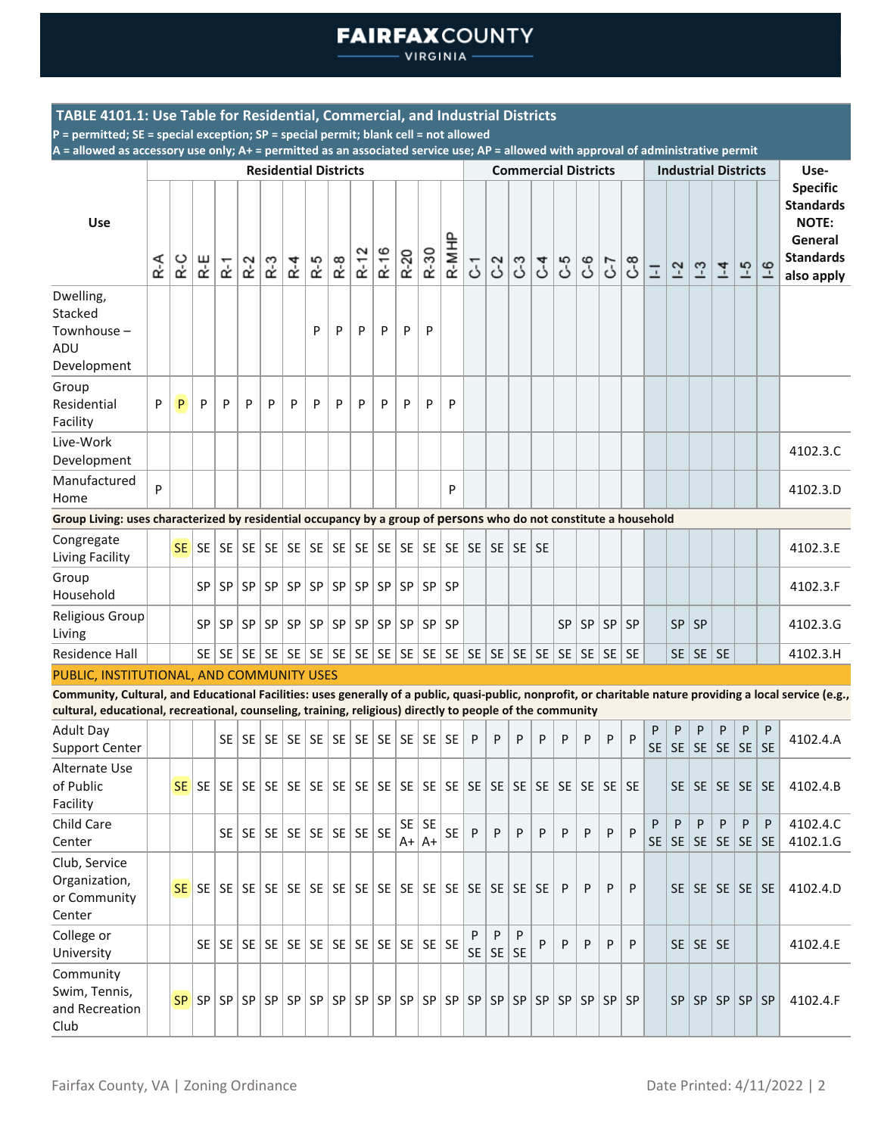VIRGINIA -

### **TABLE 4101.1: Use Table for Residential, Commercial, and Industrial Districts**

**P = permitted; SE = special exception; SP = special permit; blank cell = not allowed**

|                                                                                                                                                                                                                                                                          |     |           |           |                      |           | <b>Residential Districts</b> |                               |     |       |        |                                                        |            |             |           |                |                |                | <b>Commercial Districts</b> |            |           |     |           |                   |           |                | <b>Industrial Districts</b>        |         |                | Use-                                                                                             |
|--------------------------------------------------------------------------------------------------------------------------------------------------------------------------------------------------------------------------------------------------------------------------|-----|-----------|-----------|----------------------|-----------|------------------------------|-------------------------------|-----|-------|--------|--------------------------------------------------------|------------|-------------|-----------|----------------|----------------|----------------|-----------------------------|------------|-----------|-----|-----------|-------------------|-----------|----------------|------------------------------------|---------|----------------|--------------------------------------------------------------------------------------------------|
| Use                                                                                                                                                                                                                                                                      | R-A | R-C       | R-E       | $\tilde{\mathbf{r}}$ | $R-2$     | $R-3$                        | $R - 4$                       | R-5 | $R-8$ | $R-12$ | R-16                                                   | R-20       | R-30        | R-MHP     | 5              | C <sub>2</sub> | C3             | <b>ح</b>                    | C-5        | <b>ع</b>  | 7-0 | 8-0       | $\overline{\bot}$ | $1-2$     | $\frac{3}{2}$  | $\overline{1}$                     | $-5$    | $-6$           | <b>Specific</b><br><b>Standards</b><br><b>NOTE:</b><br>General<br><b>Standards</b><br>also apply |
| Dwelling,<br>Stacked<br>Townhouse -<br>ADU<br>Development                                                                                                                                                                                                                |     |           |           |                      |           |                              |                               | P   | P     | P      | P                                                      | P          | P           |           |                |                |                |                             |            |           |     |           |                   |           |                |                                    |         |                |                                                                                                  |
| Group<br>Residential<br>Facility                                                                                                                                                                                                                                         | P   | P         | P         | P                    | P         | P                            | P                             | P   | P     | P      | P                                                      | P          | P           | P         |                |                |                |                             |            |           |     |           |                   |           |                |                                    |         |                |                                                                                                  |
| Live-Work<br>Development                                                                                                                                                                                                                                                 |     |           |           |                      |           |                              |                               |     |       |        |                                                        |            |             |           |                |                |                |                             |            |           |     |           |                   |           |                |                                    |         |                | 4102.3.C                                                                                         |
| Manufactured<br>Home                                                                                                                                                                                                                                                     | P   |           |           |                      |           |                              |                               |     |       |        |                                                        |            |             | P         |                |                |                |                             |            |           |     |           |                   |           |                |                                    |         |                | 4102.3.D                                                                                         |
| Group Living: uses characterized by residential occupancy by a group of persons who do not constitute a household                                                                                                                                                        |     |           |           |                      |           |                              |                               |     |       |        |                                                        |            |             |           |                |                |                |                             |            |           |     |           |                   |           |                |                                    |         |                |                                                                                                  |
| Congregate<br>Living Facility                                                                                                                                                                                                                                            |     |           |           |                      |           |                              |                               |     |       |        |                                                        |            |             |           |                |                |                |                             |            |           |     |           |                   |           |                |                                    |         |                | 4102.3.E                                                                                         |
| Group<br>Household                                                                                                                                                                                                                                                       |     |           | SP        |                      | SP   SP   |                              |                               |     |       |        | $SP   SP   SP   SP   SP   SP   SP   SP   SP$           |            |             |           |                |                |                |                             |            |           |     |           |                   |           |                |                                    |         |                | 4102.3.F                                                                                         |
| Religious Group<br>Living                                                                                                                                                                                                                                                |     |           | <b>SP</b> | <b>SP</b>            | <b>SP</b> |                              | SP   SP   SP                  |     |       |        | SP SP SP SP SP                                         |            |             | <b>SP</b> |                |                |                |                             | <b>SP</b>  | <b>SP</b> | SP  | <b>SP</b> |                   | <b>SP</b> | SP             |                                    |         |                | 4102.3.G                                                                                         |
| Residence Hall                                                                                                                                                                                                                                                           |     |           |           |                      |           |                              |                               |     |       |        |                                                        |            |             |           |                |                |                |                             |            |           |     | <b>SE</b> |                   |           | $SE$ $SE$ $SE$ |                                    |         |                | 4102.3.H                                                                                         |
| PUBLIC, INSTITUTIONAL, AND COMMUNITY USES                                                                                                                                                                                                                                |     |           |           |                      |           |                              |                               |     |       |        |                                                        |            |             |           |                |                |                |                             |            |           |     |           |                   |           |                |                                    |         |                |                                                                                                  |
| Community, Cultural, and Educational Facilities: uses generally of a public, quasi-public, nonprofit, or charitable nature providing a local service (e.g.,<br>cultural, educational, recreational, counseling, training, religious) directly to people of the community |     |           |           |                      |           |                              |                               |     |       |        |                                                        |            |             |           |                |                |                |                             |            |           |     |           |                   |           |                |                                    |         |                |                                                                                                  |
| <b>Adult Day</b><br><b>Support Center</b>                                                                                                                                                                                                                                |     |           |           |                      |           |                              |                               |     |       |        |                                                        |            |             |           | P              | P              | P              | P                           | P          | P         | P   | P         | P<br>SE           | P<br>SE   | P              | P<br>SE SE                         | P<br>SE | P<br><b>SE</b> | 4102.4.A                                                                                         |
| Alternate Use<br>of Public<br>Facility                                                                                                                                                                                                                                   |     |           |           |                      |           |                              |                               |     |       |        |                                                        |            |             |           |                |                |                |                             |            |           |     |           |                   | <b>SE</b> |                | $SE \nvert SE \nvert SE \nvert SE$ |         |                | 4102.4.B                                                                                         |
| Child Care<br>Center                                                                                                                                                                                                                                                     |     |           |           |                      | $SE$   SE |                              | $SE$   SE   SE   SE   SE   SE |     |       |        |                                                        | SE<br>$A+$ | SE<br>$ A+$ | <b>SE</b> | P              | P              | P              | P                           | P          | P         | P   | P         | P<br>SE           | P<br>SE   | P              | P<br> SE SE                        | P<br>SE | P<br><b>SE</b> | 4102.4.C<br>4102.1.G                                                                             |
| Club, Service<br>Organization,<br>or Community<br>Center                                                                                                                                                                                                                 |     |           |           |                      |           |                              |                               |     |       |        |                                                        |            |             |           |                |                | SE             | SE.                         | P          | P         | P   | P         |                   | <b>SE</b> |                | SE   SE   SE   SE                  |         |                | 4102.4.D                                                                                         |
| College or<br>University                                                                                                                                                                                                                                                 |     |           | SE I      |                      |           | SE SE SE SE                  |                               |     |       |        | $SE \nvert SE \nvert SE \nvert SE \nvert SE \nvert SE$ |            |             |           | P<br><b>SE</b> | P<br>SE        | P<br><b>SE</b> | P                           | P          | P         | P   | P         |                   | SE        | $SE$ SE        |                                    |         |                | 4102.4.E                                                                                         |
| Community<br>Swim, Tennis,<br>and Recreation<br>Club                                                                                                                                                                                                                     |     | <b>SP</b> | SP SP SP  |                      |           | SP                           | SP                            | SP  |       |        | SP SP SP SP SP SP                                      |            |             |           | SP             | <b>SP</b>      | SP             |                             | $SP$ SP SP |           | SP  | SP        |                   | SP        | SP             |                                    | SP   SP | SP             | 4102.4.F                                                                                         |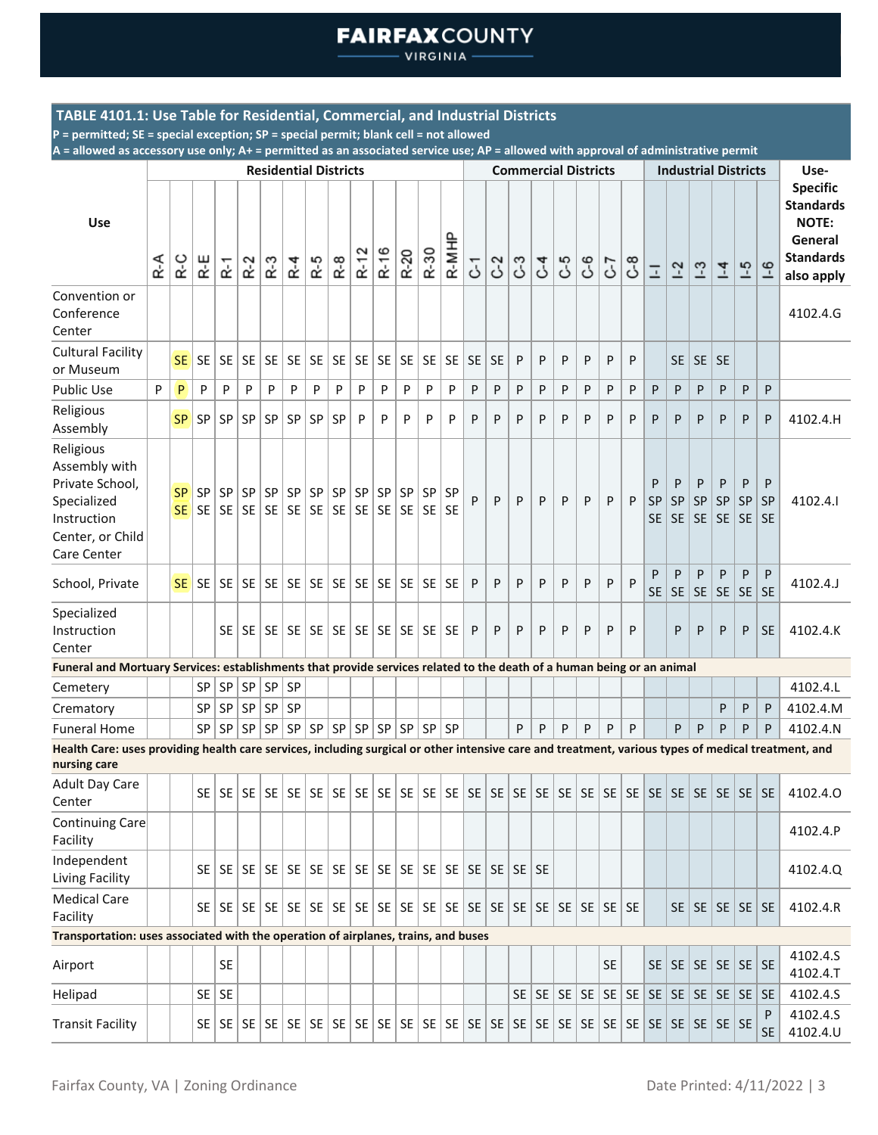VIRGINIA -

### **TABLE 4101.1: Use Table for Residential, Commercial, and Industrial Districts**

**P = permitted; SE = special exception; SP = special permit; blank cell = not allowed**

|                                                                                                                                                                     |     |                        |           |                |           |           | <b>Residential Districts</b>     |     |           |                 |                 |                        |                 |                 |           |                | <b>Commercial Districts</b> |                 |    |    |           |     |                             | <b>Industrial Districts</b> |                                                  |                             |                             |                      | Use-                                                                                             |
|---------------------------------------------------------------------------------------------------------------------------------------------------------------------|-----|------------------------|-----------|----------------|-----------|-----------|----------------------------------|-----|-----------|-----------------|-----------------|------------------------|-----------------|-----------------|-----------|----------------|-----------------------------|-----------------|----|----|-----------|-----|-----------------------------|-----------------------------|--------------------------------------------------|-----------------------------|-----------------------------|----------------------|--------------------------------------------------------------------------------------------------|
| Use                                                                                                                                                                 | R-A | R-C                    | R-E       | $\tilde{R}$ -1 | $R-2$     | $R-3$     | $R - 4$                          | R-5 | $R-8$     | $R-12$          | R-16            | R-20                   | R-30            | R-MHP           | 5         | C <sub>2</sub> | 3                           | $\mathcal{C}^4$ | යී | 69 | 7-0       | 8-0 | $\Box$                      | $1-2$                       | $-3$                                             | $\overline{4}$              | $-5$                        | $-6$                 | <b>Specific</b><br><b>Standards</b><br><b>NOTE:</b><br>General<br><b>Standards</b><br>also apply |
| Convention or<br>Conference<br>Center                                                                                                                               |     |                        |           |                |           |           |                                  |     |           |                 |                 |                        |                 |                 |           |                |                             |                 |    |    |           |     |                             |                             |                                                  |                             |                             |                      | 4102.4.G                                                                                         |
| <b>Cultural Facility</b><br>or Museum                                                                                                                               |     | SE <sup>1</sup>        | SE        | <b>SE</b>      | SE        |           | SE SE                            | SE  | SE        | SE              |                 | $SE$ $SE$              | <b>SE</b>       | SE              | <b>SE</b> | l SE           | P                           | P               | P  | P  | P         | P   |                             | <b>SE</b>                   | SE                                               | <b>SE</b>                   |                             |                      |                                                                                                  |
| <b>Public Use</b>                                                                                                                                                   | P   | P                      | P         | P              | P         | P         | P                                | P   | P         | P               | P               | P                      | P               | P               | P         | P              | P                           | P               | P  | P  | P         | P   | P                           | P                           | P                                                | P                           | P                           | P                    |                                                                                                  |
| Religious<br>Assembly                                                                                                                                               |     | SP                     | SP        | SP             | SP        | <b>SP</b> | <b>SP</b>                        | SP  | SP        | P               | P               | P                      | P               | P               | P         | P              | P                           | P               | P  | P  | P         | P   | P                           | P                           | P                                                | P                           | P                           | P                    | 4102.4.H                                                                                         |
| Religious<br>Assembly with<br>Private School,<br>Specialized<br>Instruction<br>Center, or Child<br>Care Center                                                      |     | <b>SP</b><br><b>SE</b> | SP<br>SE  | <b>SP</b>      | SP        | SP        | SP  <br>  SE   SE   SE   SE   SE | SP  | SP<br>SE  | SP<br><b>SE</b> | SP<br><b>SE</b> | SP<br> SE              | SP<br><b>SE</b> | SP<br><b>SE</b> | P         | P              | P                           | P               | P  | P  | P         | P   | P<br><b>SP</b><br><b>SE</b> | P<br><b>SP</b><br><b>SE</b> | P<br><b>SP</b><br><b>SE</b>                      | P<br><b>SP</b><br><b>SE</b> | P<br><b>SP</b><br><b>SE</b> | P<br>SP<br><b>SE</b> | 4102.4.1                                                                                         |
| School, Private                                                                                                                                                     |     | <b>SE</b>              | <b>SE</b> | <b>SE</b>      | SE        |           | SE SE                            | SE  | <b>SE</b> | SE              |                 | SE SE                  | <b>SE</b>       | <b>SE</b>       | P         | P              | P                           | P               | P  | P  | P         | P   | P<br><b>SE</b>              | P<br><b>SE</b>              | P<br><b>SE</b>                                   | P<br><b>SE</b>              | P<br><b>SE</b>              | P<br><b>SE</b>       | 4102.4.J                                                                                         |
| Specialized<br>Instruction<br>Center                                                                                                                                |     |                        |           |                | $SE$   SE | <b>SE</b> | SE                               | SE  | SE.       |                 |                 | $SE$   SE   SE   SE    |                 | <b>SE</b>       | P         | P              | P                           | P               | P  | P  | P         | P   |                             | P                           | P                                                | P                           | P                           | <b>SE</b>            | 4102.4.K                                                                                         |
| Funeral and Mortuary Services: establishments that provide services related to the death of a human being or an animal                                              |     |                        |           |                |           |           |                                  |     |           |                 |                 |                        |                 |                 |           |                |                             |                 |    |    |           |     |                             |                             |                                                  |                             |                             |                      |                                                                                                  |
| Cemetery                                                                                                                                                            |     |                        | <b>SP</b> | SP             | SP        | SP        | SP                               |     |           |                 |                 |                        |                 |                 |           |                |                             |                 |    |    |           |     |                             |                             |                                                  |                             |                             |                      | 4102.4.L                                                                                         |
| Crematory                                                                                                                                                           |     |                        | <b>SP</b> | SP             | SP        | <b>SP</b> | SP                               |     |           |                 |                 |                        |                 |                 |           |                |                             |                 |    |    |           |     |                             |                             |                                                  | P                           | P                           | P                    | 4102.4.M                                                                                         |
| <b>Funeral Home</b>                                                                                                                                                 |     |                        | SP        | SP             | <b>SP</b> | SP        | SP                               |     | SP   SP   |                 |                 | SP   SP   SP   SP   SP |                 |                 |           |                | P                           | P               | P  | P  | P         | P   |                             | P                           | P                                                | P                           | P                           | P                    | 4102.4.N                                                                                         |
| Health Care: uses providing health care services, including surgical or other intensive care and treatment, various types of medical treatment, and<br>nursing care |     |                        |           |                |           |           |                                  |     |           |                 |                 |                        |                 |                 |           |                |                             |                 |    |    |           |     |                             |                             |                                                  |                             |                             |                      |                                                                                                  |
| <b>Adult Day Care</b><br>Center                                                                                                                                     |     |                        |           |                |           |           |                                  |     |           |                 |                 |                        |                 |                 |           |                |                             |                 |    |    |           |     |                             |                             |                                                  |                             |                             |                      | 4102.4.0                                                                                         |
| Continuing Care<br>Facility                                                                                                                                         |     |                        |           |                |           |           |                                  |     |           |                 |                 |                        |                 |                 |           |                |                             |                 |    |    |           |     |                             |                             |                                                  |                             |                             |                      | 4102.4.P                                                                                         |
| Independent<br>Living Facility                                                                                                                                      |     |                        |           |                |           |           |                                  |     |           |                 |                 |                        |                 |                 |           |                |                             |                 |    |    |           |     |                             |                             |                                                  |                             |                             |                      | 4102.4.Q                                                                                         |
| <b>Medical Care</b><br>Facility                                                                                                                                     |     |                        |           |                |           |           |                                  |     |           |                 |                 |                        |                 |                 |           |                |                             |                 |    |    |           |     |                             |                             | SE   SE   SE   SE   SE                           |                             |                             |                      | 4102.4.R                                                                                         |
| Transportation: uses associated with the operation of airplanes, trains, and buses                                                                                  |     |                        |           |                |           |           |                                  |     |           |                 |                 |                        |                 |                 |           |                |                             |                 |    |    |           |     |                             |                             |                                                  |                             |                             |                      |                                                                                                  |
| Airport                                                                                                                                                             |     |                        |           | <b>SE</b>      |           |           |                                  |     |           |                 |                 |                        |                 |                 |           |                |                             |                 |    |    | <b>SE</b> |     | SE                          |                             | $SE \setminus SE \setminus SE$ $SE \setminus SE$ |                             |                             |                      | 4102.4.S<br>4102.4.T                                                                             |
| Helipad                                                                                                                                                             |     |                        | SE        | <b>SE</b>      |           |           |                                  |     |           |                 |                 |                        |                 |                 |           |                | SE                          |                 |    |    |           |     |                             |                             |                                                  |                             |                             | <b>SE</b>            | 4102.4.S                                                                                         |
| <b>Transit Facility</b>                                                                                                                                             |     |                        |           |                |           |           |                                  |     |           |                 |                 |                        |                 |                 |           |                |                             |                 |    |    |           |     |                             |                             |                                                  |                             |                             | P<br><b>SE</b>       | 4102.4.S<br>4102.4.U                                                                             |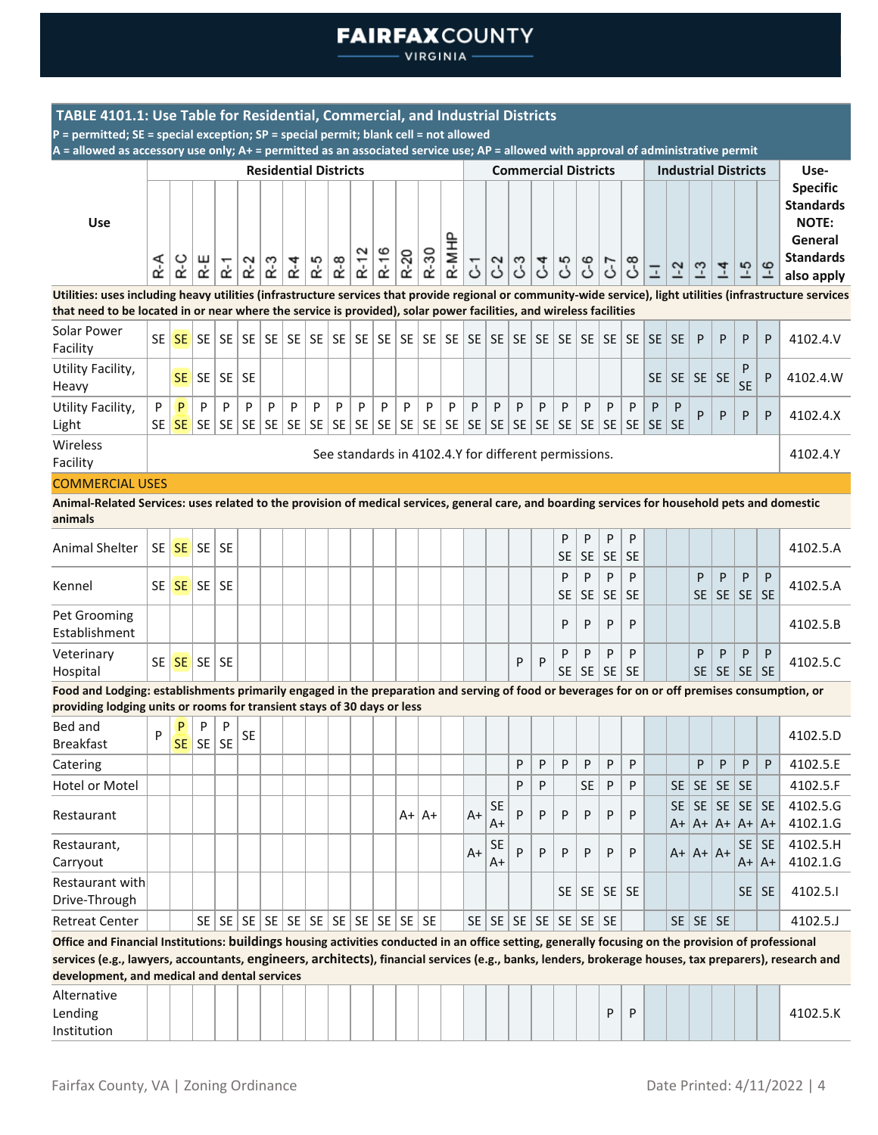**VIRGINIA** 

| TABLE 4101.1: Use Table for Residential, Commercial, and Industrial Districts                                                                                                                                                                                                                                 |         |                     |                     |          |                |                              |         |         |         |        |            |                                                      |              |                |         |                   |              |                                                      |         |                |                |                |         |                |                             |                |                          |                      |                                                                                    |
|---------------------------------------------------------------------------------------------------------------------------------------------------------------------------------------------------------------------------------------------------------------------------------------------------------------|---------|---------------------|---------------------|----------|----------------|------------------------------|---------|---------|---------|--------|------------|------------------------------------------------------|--------------|----------------|---------|-------------------|--------------|------------------------------------------------------|---------|----------------|----------------|----------------|---------|----------------|-----------------------------|----------------|--------------------------|----------------------|------------------------------------------------------------------------------------|
| P = permitted; SE = special exception; SP = special permit; blank cell = not allowed                                                                                                                                                                                                                          |         |                     |                     |          |                |                              |         |         |         |        |            |                                                      |              |                |         |                   |              |                                                      |         |                |                |                |         |                |                             |                |                          |                      |                                                                                    |
| $A =$ allowed as accessory use only; $A +$ = permitted as an associated service use; $AP =$ allowed with approval of administrative permit                                                                                                                                                                    |         |                     |                     |          |                |                              |         |         |         |        |            |                                                      |              |                |         |                   |              |                                                      |         |                |                |                |         |                |                             |                |                          |                      |                                                                                    |
|                                                                                                                                                                                                                                                                                                               |         |                     |                     |          |                | <b>Residential Districts</b> |         |         |         |        |            |                                                      |              |                |         |                   |              | <b>Commercial Districts</b>                          |         |                |                |                |         |                | <b>Industrial Districts</b> |                |                          |                      | Use-                                                                               |
| Use                                                                                                                                                                                                                                                                                                           |         |                     |                     |          |                |                              |         |         |         | $R-12$ | R-16       | R-20                                                 | R-30         | R-MHP          |         |                   |              |                                                      |         |                |                |                |         |                |                             |                |                          |                      | <b>Specific</b><br><b>Standards</b><br><b>NOTE:</b><br>General<br><b>Standards</b> |
|                                                                                                                                                                                                                                                                                                               | R-A     | R-C                 | R−E                 | $R-1$    | $R-2$          | $R-3$                        | $R - 4$ | R-5     | $R-8$   |        |            |                                                      |              |                | 5       | $\Im$             | <b>م</b> ع   | لح<br>ح                                              | 5ع      | රී             | 57             | ზ<br>ა         | Ξ       | $\overline{2}$ | $\frac{3}{2}$               | $\overline{1}$ | $-5$                     | $-6$                 | also apply                                                                         |
| Utilities: uses including heavy utilities (infrastructure services that provide regional or community-wide service), light utilities (infrastructure services                                                                                                                                                 |         |                     |                     |          |                |                              |         |         |         |        |            |                                                      |              |                |         |                   |              |                                                      |         |                |                |                |         |                |                             |                |                          |                      |                                                                                    |
| that need to be located in or near where the service is provided), solar power facilities, and wireless facilities                                                                                                                                                                                            |         |                     |                     |          |                |                              |         |         |         |        |            |                                                      |              |                |         |                   |              |                                                      |         |                |                |                |         |                |                             |                |                          |                      |                                                                                    |
| Solar Power<br>Facility                                                                                                                                                                                                                                                                                       | SE l    | SE I                |                     |          |                | SE   SE   SE   SE   SE       |         |         |         |        |            |                                                      |              |                |         |                   |              |                                                      |         |                |                |                | SE I    | <b>SE</b>      | P                           | P              | P                        | P                    | 4102.4.V                                                                           |
| Utility Facility,<br>Heavy                                                                                                                                                                                                                                                                                    |         | SE I                |                     | SE SE    | <b>SE</b>      |                              |         |         |         |        |            |                                                      |              |                |         |                   |              |                                                      |         |                |                |                | SE I    | SE             | <b>SE</b>                   | <b>SE</b>      | P<br><b>SE</b>           | P                    | 4102.4.W                                                                           |
| Utility Facility,<br>Light                                                                                                                                                                                                                                                                                    | P<br>SE | P<br>SE <sup></sup> | P<br><b>SE</b>      | P<br> SE | P<br><b>SE</b> | P<br>SE                      | P<br>SE | P<br>SE | P<br>SE | P      | P<br>SE SE | P                                                    | P<br>$SE$ SE | P<br><b>SE</b> | P<br>SE | P                 | P<br>$SE$ SE | P<br> SE                                             | P<br>SE | P<br><b>SE</b> | P<br><b>SE</b> | P<br><b>SE</b> | P<br>SE | P<br><b>SE</b> | P                           | P              | P                        | P                    | 4102.4.X                                                                           |
| Wireless<br>Facility                                                                                                                                                                                                                                                                                          |         |                     |                     |          |                |                              |         |         |         |        |            | See standards in 4102.4.Y for different permissions. |              |                |         |                   |              |                                                      |         |                |                |                |         |                |                             |                |                          |                      | 4102.4.Y                                                                           |
| <b>COMMERCIAL USES</b>                                                                                                                                                                                                                                                                                        |         |                     |                     |          |                |                              |         |         |         |        |            |                                                      |              |                |         |                   |              |                                                      |         |                |                |                |         |                |                             |                |                          |                      |                                                                                    |
| Animal-Related Services: uses related to the provision of medical services, general care, and boarding services for household pets and domestic<br>animals                                                                                                                                                    |         |                     |                     |          |                |                              |         |         |         |        |            |                                                      |              |                |         |                   |              |                                                      |         |                |                |                |         |                |                             |                |                          |                      |                                                                                    |
| <b>Animal Shelter</b>                                                                                                                                                                                                                                                                                         |         |                     | $SE$ $SE$ $SE$ $SE$ |          |                |                              |         |         |         |        |            |                                                      |              |                |         |                   |              |                                                      | P<br>SE | P<br><b>SE</b> | P<br><b>SE</b> | P<br><b>SE</b> |         |                |                             |                |                          |                      | 4102.5.A                                                                           |
| Kennel                                                                                                                                                                                                                                                                                                        | SE I    |                     | $SE$ SE SE          |          |                |                              |         |         |         |        |            |                                                      |              |                |         |                   |              |                                                      | P<br>SE | P<br><b>SE</b> | P<br><b>SE</b> | P<br><b>SE</b> |         |                | P<br>SE                     | P<br><b>SE</b> | P<br> SE                 | P<br><b>SE</b>       | 4102.5.A                                                                           |
| Pet Grooming<br>Establishment                                                                                                                                                                                                                                                                                 |         |                     |                     |          |                |                              |         |         |         |        |            |                                                      |              |                |         |                   |              |                                                      | P       | P              | P              | P              |         |                |                             |                |                          |                      | 4102.5.B                                                                           |
| Veterinary<br>Hospital                                                                                                                                                                                                                                                                                        |         |                     | SE SE SE SE         |          |                |                              |         |         |         |        |            |                                                      |              |                |         |                   | P            | P                                                    | P       | P<br>$SE$   SE | P<br>SE SE     | P              |         |                | P                           | P              | P<br>$SE$   SE   SE   SE | P                    | 4102.5.C                                                                           |
| Food and Lodging: establishments primarily engaged in the preparation and serving of food or beverages for on or off premises consumption, or                                                                                                                                                                 |         |                     |                     |          |                |                              |         |         |         |        |            |                                                      |              |                |         |                   |              |                                                      |         |                |                |                |         |                |                             |                |                          |                      |                                                                                    |
| providing lodging units or rooms for transient stays of 30 days or less                                                                                                                                                                                                                                       |         |                     |                     |          |                |                              |         |         |         |        |            |                                                      |              |                |         |                   |              |                                                      |         |                |                |                |         |                |                             |                |                          |                      |                                                                                    |
| Bed and<br><b>Breakfast</b>                                                                                                                                                                                                                                                                                   | P       | P                   | P<br>$SE$ SE SE     | P        | SE             |                              |         |         |         |        |            |                                                      |              |                |         |                   |              |                                                      |         |                |                |                |         |                |                             |                |                          |                      | 4102.5.D                                                                           |
| Catering                                                                                                                                                                                                                                                                                                      |         |                     |                     |          |                |                              |         |         |         |        |            |                                                      |              |                |         |                   | P            | P                                                    | P       | P              | P              | P              |         |                | P                           | P              | P                        | P                    | 4102.5.E                                                                           |
| Hotel or Motel                                                                                                                                                                                                                                                                                                |         |                     |                     |          |                |                              |         |         |         |        |            |                                                      |              |                |         |                   | P            | P                                                    |         | <b>SE</b>      | P              | P              |         | <b>SE</b>      | <b>SE</b>                   | <b>SE</b>      | SE                       |                      | 4102.5.F                                                                           |
| Restaurant                                                                                                                                                                                                                                                                                                    |         |                     |                     |          |                |                              |         |         |         |        |            |                                                      | $A+ A+$      |                | $A+$    | <b>SE</b><br>$A+$ | P            | P                                                    | P       | P              | P              | P              |         | <b>SE</b>      | SE<br>$A+ A+ A+ A+ A+$      | <b>SE</b>      | SE SE                    |                      | 4102.5.G<br>4102.1.G                                                               |
| Restaurant,<br>Carryout                                                                                                                                                                                                                                                                                       |         |                     |                     |          |                |                              |         |         |         |        |            |                                                      |              |                | A+      | <b>SE</b><br>A+   | P            | P                                                    | P       | P              | P              | P              |         |                | $A+ A+ A+$                  |                | <b>SE</b>                | <b>SE</b><br>$A+ A+$ | 4102.5.H<br>4102.1.G                                                               |
| Restaurant with                                                                                                                                                                                                                                                                                               |         |                     |                     |          |                |                              |         |         |         |        |            |                                                      |              |                |         |                   |              |                                                      |         |                |                |                |         |                |                             |                |                          |                      |                                                                                    |
| Drive-Through                                                                                                                                                                                                                                                                                                 |         |                     |                     |          |                |                              |         |         |         |        |            |                                                      |              |                |         |                   |              |                                                      | SE      | SE             | $SE$ SE        |                |         |                |                             |                |                          | $SE$ SE              | 4102.5.1                                                                           |
| <b>Retreat Center</b>                                                                                                                                                                                                                                                                                         |         |                     |                     |          |                |                              |         |         |         |        |            |                                                      |              |                |         |                   |              | $SE \mid SE \mid SE \mid SE \mid SE \mid SE \mid SE$ |         |                |                |                |         |                | $SE$   SE   SE              |                |                          |                      | 4102.5.J                                                                           |
| Office and Financial Institutions: buildings housing activities conducted in an office setting, generally focusing on the provision of professional<br>services (e.g., lawyers, accountants, engineers, architects), financial services (e.g., banks, lenders, brokerage houses, tax preparers), research and |         |                     |                     |          |                |                              |         |         |         |        |            |                                                      |              |                |         |                   |              |                                                      |         |                |                |                |         |                |                             |                |                          |                      |                                                                                    |
| development, and medical and dental services                                                                                                                                                                                                                                                                  |         |                     |                     |          |                |                              |         |         |         |        |            |                                                      |              |                |         |                   |              |                                                      |         |                |                |                |         |                |                             |                |                          |                      |                                                                                    |
| Alternative<br>Lending<br>Institution                                                                                                                                                                                                                                                                         |         |                     |                     |          |                |                              |         |         |         |        |            |                                                      |              |                |         |                   |              |                                                      |         |                | P              | P              |         |                |                             |                |                          |                      | 4102.5.K                                                                           |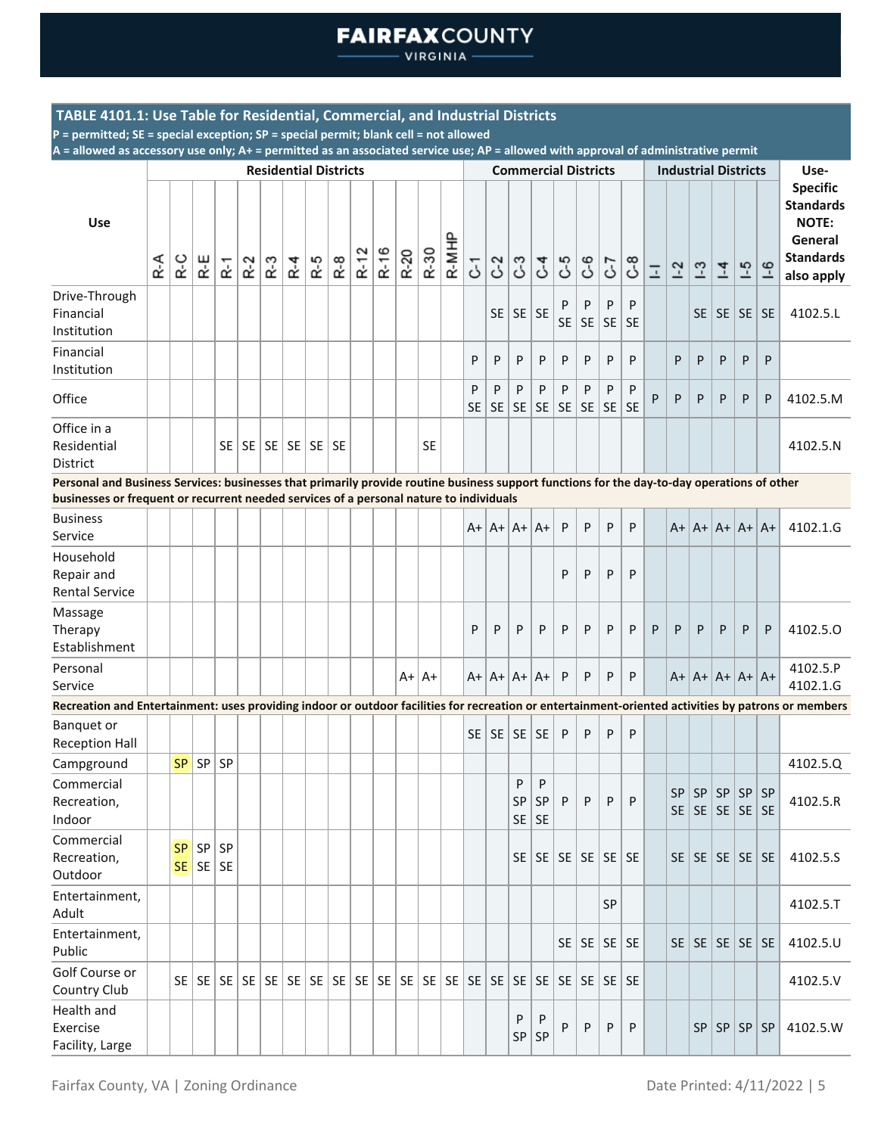**VIRGINIA** 

### **TABLE 4101.1: Use Table for Residential, Commercial, and Industrial Districts**

**P = permitted; SE = special exception; SP = special permit; blank cell = not allowed**

|                                                                                                                                                                                                                                        |     |           |                      |                |           |        | <b>Residential Districts</b> |           |           |        |      |         |           |       |                |                |                |                             | <b>Commercial Districts</b>                  |         |                              |                 |                | <b>Industrial Districts</b> |                                      |                |                |           | Use-                                                                                             |
|----------------------------------------------------------------------------------------------------------------------------------------------------------------------------------------------------------------------------------------|-----|-----------|----------------------|----------------|-----------|--------|------------------------------|-----------|-----------|--------|------|---------|-----------|-------|----------------|----------------|----------------|-----------------------------|----------------------------------------------|---------|------------------------------|-----------------|----------------|-----------------------------|--------------------------------------|----------------|----------------|-----------|--------------------------------------------------------------------------------------------------|
| <b>Use</b>                                                                                                                                                                                                                             | R-A | R-C       | R-E                  | $\tilde{R}$ -1 | $R-2$     | ր<br>Տ | $R - 4$                      | R-5       | $R-8$     | $R-12$ | R-16 | $R-20$  | R-30      | R-MHP | 5              | C <sub>2</sub> | ී              | $\mathcal{C}^4$             | <b>م</b> ع                                   | 69      | 5-7                          | $\mathcal{C}^8$ | $\overline{a}$ | $1-2$                       | $\frac{3}{2}$                        | $\overline{1}$ | $-5$           | $-6$      | <b>Specific</b><br><b>Standards</b><br><b>NOTE:</b><br>General<br><b>Standards</b><br>also apply |
| Drive-Through<br>Financial<br>Institution                                                                                                                                                                                              |     |           |                      |                |           |        |                              |           |           |        |      |         |           |       |                | <b>SE</b>      | $SE$ SE        |                             | P<br><b>SE</b>                               | P<br>SE | P<br>SE                      | P<br><b>SE</b>  |                |                             | SE.                                  |                | SE   SE        | <b>SE</b> | 4102.5.L                                                                                         |
| Financial<br>Institution                                                                                                                                                                                                               |     |           |                      |                |           |        |                              |           |           |        |      |         |           |       | P              | P              | P              | P                           | P                                            | P       | P                            | P               |                | P                           | P                                    | P              | P              | P         |                                                                                                  |
| Office                                                                                                                                                                                                                                 |     |           |                      |                |           |        |                              |           |           |        |      |         |           |       | P<br><b>SE</b> | P<br><b>SE</b> | P<br><b>SE</b> | P<br>SE                     | P<br>SE                                      | P<br>SE | P<br>SE                      | P<br><b>SE</b>  | P              | P                           | P                                    | P              | P              | P         | 4102.5.M                                                                                         |
| Office in a<br>Residential<br><b>District</b>                                                                                                                                                                                          |     |           |                      |                | $SE$   SE |        | $SE$   SE                    | <b>SE</b> | <b>SE</b> |        |      |         | <b>SE</b> |       |                |                |                |                             |                                              |         |                              |                 |                |                             |                                      |                |                |           | 4102.5.N                                                                                         |
| Personal and Business Services: businesses that primarily provide routine business support functions for the day-to-day operations of other<br>businesses or frequent or recurrent needed services of a personal nature to individuals |     |           |                      |                |           |        |                              |           |           |        |      |         |           |       |                |                |                |                             |                                              |         |                              |                 |                |                             |                                      |                |                |           |                                                                                                  |
| <b>Business</b><br>Service                                                                                                                                                                                                             |     |           |                      |                |           |        |                              |           |           |        |      |         |           |       | A+             |                | $ A+ A+ A+$    |                             | P                                            | P       | P                            | P               |                |                             | $A+ A+ A+ A+ A+$                     |                |                |           | 4102.1.G                                                                                         |
| Household<br>Repair and<br><b>Rental Service</b>                                                                                                                                                                                       |     |           |                      |                |           |        |                              |           |           |        |      |         |           |       |                |                |                |                             | P                                            | P       | P                            | P               |                |                             |                                      |                |                |           |                                                                                                  |
| Massage<br>Therapy<br>Establishment                                                                                                                                                                                                    |     |           |                      |                |           |        |                              |           |           |        |      |         |           |       | P              | P              | P              | P                           | P                                            | P       | P                            | P               | P              | P                           | P                                    | P              | P              | P         | 4102.5.0                                                                                         |
| Personal<br>Service                                                                                                                                                                                                                    |     |           |                      |                |           |        |                              |           |           |        |      | $A+ A+$ |           |       |                |                | $A+ A+ A+ A+$  |                             | P                                            | P       | P                            | P               |                |                             | $A+ A+ A+ A+ A+$                     |                |                |           | 4102.5.P<br>4102.1.G                                                                             |
| Recreation and Entertainment: uses providing indoor or outdoor facilities for recreation or entertainment-oriented activities by patrons or members                                                                                    |     |           |                      |                |           |        |                              |           |           |        |      |         |           |       |                |                |                |                             |                                              |         |                              |                 |                |                             |                                      |                |                |           |                                                                                                  |
| <b>Banquet or</b><br><b>Reception Hall</b>                                                                                                                                                                                             |     |           |                      |                |           |        |                              |           |           |        |      |         |           |       | <b>SE</b>      | SE             | $SE$ SE        |                             | P                                            | P       | P                            | P               |                |                             |                                      |                |                |           |                                                                                                  |
| Campground                                                                                                                                                                                                                             |     | <b>SP</b> | SP                   | SP             |           |        |                              |           |           |        |      |         |           |       |                |                |                |                             |                                              |         |                              |                 |                |                             |                                      |                |                |           | 4102.5.Q                                                                                         |
| Commercial<br>Recreation,<br>Indoor                                                                                                                                                                                                    |     |           |                      |                |           |        |                              |           |           |        |      |         |           |       |                |                | P              | P<br>SP   SP   P<br>$SE$ SE |                                              | P       | P   P                        |                 |                | SP<br><b>SE</b>             | SP <br> SE SE SE SE                  |                | SP   SP   SP   |           | 4102.5.R                                                                                         |
| Commercial<br>Recreation,<br>Outdoor                                                                                                                                                                                                   |     | <b>SP</b> | SP<br>$SE$ $SE$ $SE$ | SP             |           |        |                              |           |           |        |      |         |           |       |                |                |                |                             | $SE \mid SE \mid SE \mid SE \mid SE \mid SE$ |         |                              |                 |                |                             | $SE \mid SE \mid SE \mid SE \mid SE$ |                |                |           | 4102.5.S                                                                                         |
| Entertainment,<br>Adult                                                                                                                                                                                                                |     |           |                      |                |           |        |                              |           |           |        |      |         |           |       |                |                |                |                             |                                              |         | SP                           |                 |                |                             |                                      |                |                |           | 4102.5.T                                                                                         |
| Entertainment,<br>Public                                                                                                                                                                                                               |     |           |                      |                |           |        |                              |           |           |        |      |         |           |       |                |                |                |                             |                                              |         | $SE \mid SE \mid SE \mid SE$ |                 |                |                             | $SE \mid SE \mid SE \mid SE \mid SE$ |                |                |           | 4102.5.U                                                                                         |
| Golf Course or<br>Country Club                                                                                                                                                                                                         |     |           |                      |                |           |        |                              |           |           |        |      |         |           |       |                |                |                |                             |                                              |         |                              |                 |                |                             |                                      |                |                |           | 4102.5.V                                                                                         |
| Health and<br>Exercise<br>Facility, Large                                                                                                                                                                                              |     |           |                      |                |           |        |                              |           |           |        |      |         |           |       |                |                | P<br>SP        | P<br>SP                     | P                                            | P       | P                            | P               |                |                             |                                      |                | $SP$ $SP$ $SP$ | <b>SP</b> | 4102.5.W                                                                                         |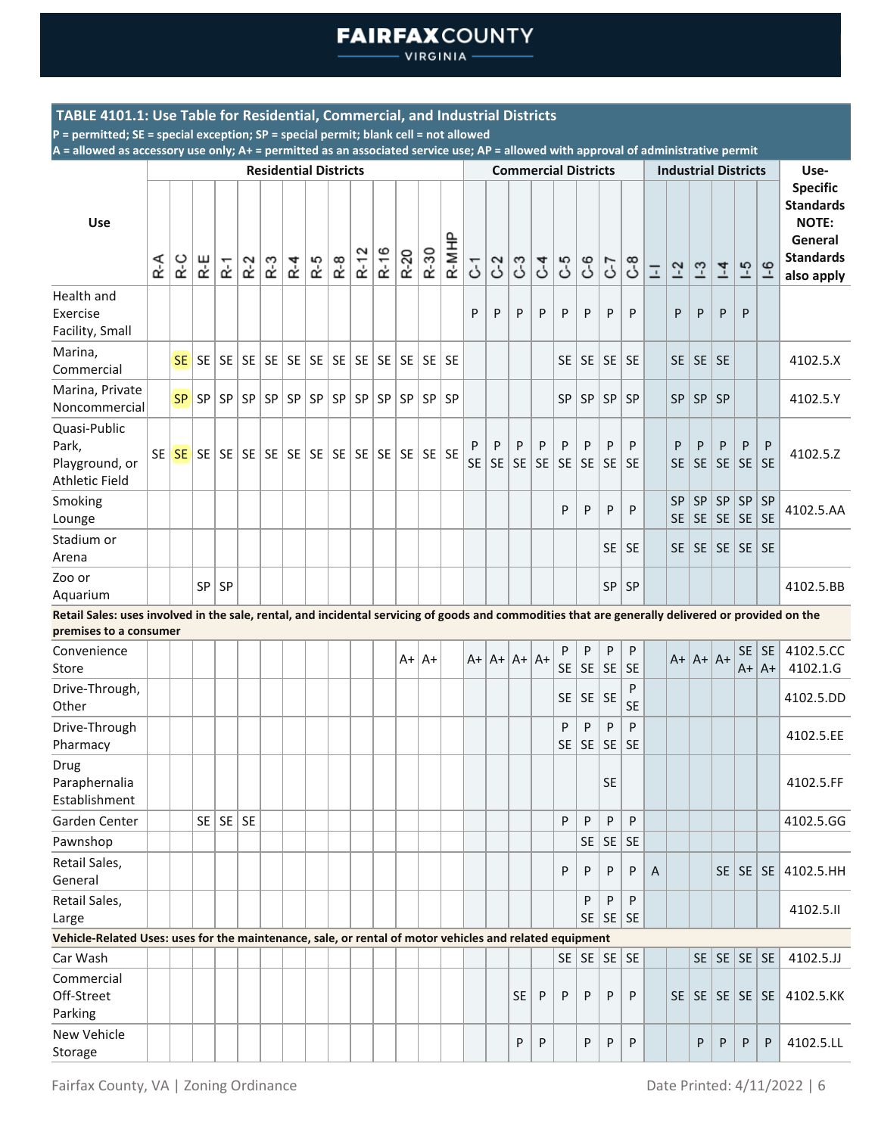VIRGINIA

### **TABLE 4101.1: Use Table for Residential, Commercial, and Industrial Districts**

**P = permitted; SE = special exception; SP = special permit; blank cell = not allowed**

|                                                                                                                                                                              |     |           |     |                      |       |     | <b>Residential Districts</b> |     |       |        |      |        |             |       |                |                |                |                 | <b>Commercial Districts</b> |                  |                      |                |                          |                        | <b>Industrial Districts</b>          |                        |                 |                    | Use-                                                                                             |
|------------------------------------------------------------------------------------------------------------------------------------------------------------------------------|-----|-----------|-----|----------------------|-------|-----|------------------------------|-----|-------|--------|------|--------|-------------|-------|----------------|----------------|----------------|-----------------|-----------------------------|------------------|----------------------|----------------|--------------------------|------------------------|--------------------------------------|------------------------|-----------------|--------------------|--------------------------------------------------------------------------------------------------|
| Use                                                                                                                                                                          | R-A | R-C       | R-E | ۲.                   | $R-2$ | R-3 | R <sub>4</sub>               | R-5 | $R-8$ | $R-12$ | R-16 | $R-20$ | R-30        | R-MHP | 5              | C <sub>2</sub> | ී              | $\mathcal{C}^4$ | 3-                          | $\mathcal{C}$ -6 | 5                    | $\mathcal{C}$  | $\overline{\phantom{a}}$ | $1-2$                  | $-3$                                 | $\overline{4}$         | $-5$            | $-6$               | <b>Specific</b><br><b>Standards</b><br><b>NOTE:</b><br>General<br><b>Standards</b><br>also apply |
| Health and<br>Exercise<br>Facility, Small                                                                                                                                    |     |           |     |                      |       |     |                              |     |       |        |      |        |             |       | P              | P              | P              | P               | P                           | P                | P                    | P              |                          | P                      | P                                    | P                      | P               |                    |                                                                                                  |
| Marina,<br>Commercial                                                                                                                                                        |     | SE        | SE  |                      |       |     |                              |     |       |        |      |        |             |       |                |                |                |                 | SE                          |                  | SE SE SE             |                |                          |                        | $SE$   SE                            | <b>SE</b>              |                 |                    | 4102.5.X                                                                                         |
| Marina, Private<br>Noncommercial                                                                                                                                             |     | <b>SP</b> | SP  | SP                   | SP    |     | SP   SP                      |     | SP SP | SP     |      |        | SP SP SP SP |       |                |                |                |                 | <b>SP</b>                   | SP               | SP                   | SP             |                          | <b>SP</b>              | SP                                   | <b>SP</b>              |                 |                    | 4102.5.Y                                                                                         |
| Quasi-Public<br>Park,<br>Playground, or<br><b>Athletic Field</b>                                                                                                             |     | SE SE     | SE  |                      |       |     |                              |     |       |        |      |        | $SE$ SE SE  |       | P<br><b>SE</b> | P<br><b>SE</b> | P<br><b>SE</b> | P<br><b>SE</b>  | P<br><b>SE</b>              | P<br><b>SE</b>   | P<br><b>SE</b>       | P<br><b>SE</b> |                          | P<br><b>SE</b>         | P<br>SE                              | P<br><b>SE</b>         | P<br>SE         | P<br><b>SE</b>     | 4102.5.Z                                                                                         |
| Smoking<br>Lounge                                                                                                                                                            |     |           |     |                      |       |     |                              |     |       |        |      |        |             |       |                |                |                |                 | P                           | P                | P                    | P              |                          | <b>SP</b><br><b>SE</b> | <b>SP</b><br><b>SE</b>               | <b>SP</b><br><b>SE</b> | SP<br><b>SE</b> | SP<br><b>SE</b>    | 4102.5.AA                                                                                        |
| Stadium or<br>Arena                                                                                                                                                          |     |           |     |                      |       |     |                              |     |       |        |      |        |             |       |                |                |                |                 |                             |                  | <b>SE</b>            | <b>SE</b>      |                          |                        | SE   SE   SE   SE                    |                        |                 | <b>SE</b>          |                                                                                                  |
| Zoo or<br>Aquarium                                                                                                                                                           |     |           | SP  | <b>SP</b>            |       |     |                              |     |       |        |      |        |             |       |                |                |                |                 |                             |                  |                      | SP   SP        |                          |                        |                                      |                        |                 |                    | 4102.5.BB                                                                                        |
| Retail Sales: uses involved in the sale, rental, and incidental servicing of goods and commodities that are generally delivered or provided on the<br>premises to a consumer |     |           |     |                      |       |     |                              |     |       |        |      |        |             |       |                |                |                |                 |                             |                  |                      |                |                          |                        |                                      |                        |                 |                    |                                                                                                  |
| Convenience<br>Store                                                                                                                                                         |     |           |     |                      |       |     |                              |     |       |        |      | $A+$   | $A+$        |       | $A+$           |                | $ A+ A+ A+$    |                 | P<br><b>SE</b>              | P<br>SE          | ${\sf P}$<br>SE      | P<br><b>SE</b> |                          |                        | $A+ A+ A+$                           |                        | SE.<br>$A+$     | <b>SE</b><br>$ A+$ | 4102.5.CC<br>4102.1.G                                                                            |
| Drive-Through,<br>Other                                                                                                                                                      |     |           |     |                      |       |     |                              |     |       |        |      |        |             |       |                |                |                |                 | <b>SE</b>                   | $SE$ SE          |                      | P<br><b>SE</b> |                          |                        |                                      |                        |                 |                    | 4102.5.DD                                                                                        |
| Drive-Through<br>Pharmacy                                                                                                                                                    |     |           |     |                      |       |     |                              |     |       |        |      |        |             |       |                |                |                |                 | P<br><b>SE</b>              | P<br> SE         | P<br>SE              | P<br><b>SE</b> |                          |                        |                                      |                        |                 |                    | 4102.5.EE                                                                                        |
| Drug<br>Paraphernalia<br>Establishment                                                                                                                                       |     |           |     |                      |       |     |                              |     |       |        |      |        |             |       |                |                |                |                 |                             |                  | <b>SE</b>            |                |                          |                        |                                      |                        |                 |                    | 4102.5.FF                                                                                        |
| Garden Center                                                                                                                                                                |     |           |     | $SE \mid SE \mid SE$ |       |     |                              |     |       |        |      |        |             |       |                |                |                |                 | P                           | P                | P                    | P              |                          |                        |                                      |                        |                 |                    | 4102.5.GG                                                                                        |
| Pawnshop                                                                                                                                                                     |     |           |     |                      |       |     |                              |     |       |        |      |        |             |       |                |                |                |                 |                             | SE               | SE                   | <b>SE</b>      |                          |                        |                                      |                        |                 |                    |                                                                                                  |
| Retail Sales,<br>General                                                                                                                                                     |     |           |     |                      |       |     |                              |     |       |        |      |        |             |       |                |                |                |                 | P                           | P                | P                    | P              | A                        |                        |                                      |                        | $SE$   SE       | SE                 | 4102.5.HH                                                                                        |
| Retail Sales,<br>Large                                                                                                                                                       |     |           |     |                      |       |     |                              |     |       |        |      |        |             |       |                |                |                |                 |                             | P                | P<br>$SE$ $SE$ $SE$  | P              |                          |                        |                                      |                        |                 |                    | 4102.5.II                                                                                        |
| Vehicle-Related Uses: uses for the maintenance, sale, or rental of motor vehicles and related equipment                                                                      |     |           |     |                      |       |     |                              |     |       |        |      |        |             |       |                |                |                |                 |                             |                  |                      |                |                          |                        |                                      |                        |                 |                    |                                                                                                  |
| Car Wash                                                                                                                                                                     |     |           |     |                      |       |     |                              |     |       |        |      |        |             |       |                |                |                |                 | SE                          |                  | $SE \setminus SE$ SE |                |                          |                        |                                      | $SE$ $SE$ $SE$ $SE$    |                 |                    | 4102.5.JJ                                                                                        |
| Commercial<br>Off-Street<br>Parking                                                                                                                                          |     |           |     |                      |       |     |                              |     |       |        |      |        |             |       |                |                | <b>SE</b>      | P               | P                           | P                | P                    | P              |                          |                        | $SE \mid SE \mid SE \mid SE \mid SE$ |                        |                 |                    | 4102.5.KK                                                                                        |
| New Vehicle<br>Storage                                                                                                                                                       |     |           |     |                      |       |     |                              |     |       |        |      |        |             |       |                |                | P              | P               |                             | P                | P                    | P              |                          |                        | P                                    | P                      | P.              | P                  | 4102.5.LL                                                                                        |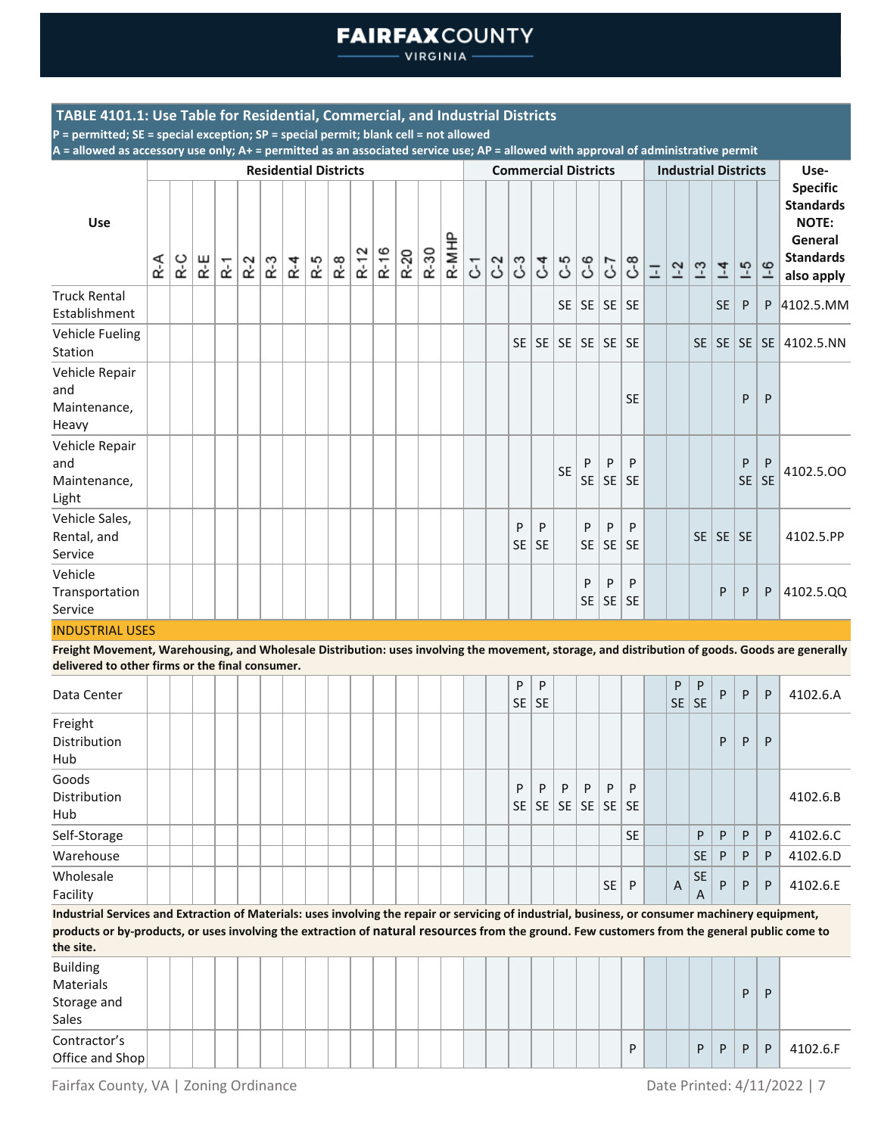**VIRGINIA** 

### **TABLE 4101.1: Use Table for Residential, Commercial, and Industrial Districts**

**P = permitted; SE = special exception; SP = special permit; blank cell = not allowed**

**A = allowed as accessory use only; A+ = permitted as an associated service use; AP = allowed with approval of administrative permit**

|                                                                                                                                                                                                    |       |     |     |                      |       | <b>Residential Districts</b> |         |       |       |        |      |      |      |       |   |       |                 | <b>Commercial Districts</b> |             |                  |                                     |                |                |                |                |                | <b>Industrial Districts</b> |                | Use-                                                                                             |
|----------------------------------------------------------------------------------------------------------------------------------------------------------------------------------------------------|-------|-----|-----|----------------------|-------|------------------------------|---------|-------|-------|--------|------|------|------|-------|---|-------|-----------------|-----------------------------|-------------|------------------|-------------------------------------|----------------|----------------|----------------|----------------|----------------|-----------------------------|----------------|--------------------------------------------------------------------------------------------------|
| <b>Use</b>                                                                                                                                                                                         | $R-A$ | R-C | R-E | $\tilde{\mathbf{r}}$ | $R-2$ | R-3                          | $R - 4$ | $R-5$ | $R-8$ | $R-12$ | R-16 | R-20 | R-30 | R-MHP | 5 | $C-2$ | $\mathcal{C}^3$ | $\mathcal{C}$               | <b>G</b> -5 | $\mathcal{C}$ -6 | 5-2                                 | $\mathcal{C}$  | $\overline{-}$ | $1-2$          | $\overline{1}$ | $\overline{4}$ | $-5$                        | $-6$           | <b>Specific</b><br><b>Standards</b><br><b>NOTE:</b><br>General<br><b>Standards</b><br>also apply |
| <b>Truck Rental</b><br>Establishment                                                                                                                                                               |       |     |     |                      |       |                              |         |       |       |        |      |      |      |       |   |       |                 |                             |             |                  | $SE$   SE   SE   SE                 |                |                |                |                | <b>SE</b>      | P                           | P              | 4102.5.MM                                                                                        |
| <b>Vehicle Fueling</b><br>Station                                                                                                                                                                  |       |     |     |                      |       |                              |         |       |       |        |      |      |      |       |   |       | <b>SE</b>       | SE                          |             |                  | $SE \setminus SE \setminus SE$ $SE$ |                |                |                | SE             |                | SE SE                       |                | SE 4102.5.NN                                                                                     |
| Vehicle Repair<br>and<br>Maintenance,<br>Heavy                                                                                                                                                     |       |     |     |                      |       |                              |         |       |       |        |      |      |      |       |   |       |                 |                             |             |                  |                                     | <b>SE</b>      |                |                |                |                | P                           | P              |                                                                                                  |
| Vehicle Repair<br>and<br>Maintenance,<br>Light                                                                                                                                                     |       |     |     |                      |       |                              |         |       |       |        |      |      |      |       |   |       |                 |                             | <b>SE</b>   | P<br><b>SE</b>   | P<br>SE                             | P<br><b>SE</b> |                |                |                |                | P<br><b>SE</b>              | P<br><b>SE</b> | 4102.5.00                                                                                        |
| Vehicle Sales,<br>Rental, and<br>Service                                                                                                                                                           |       |     |     |                      |       |                              |         |       |       |        |      |      |      |       |   |       | P<br><b>SE</b>  | P<br><b>SE</b>              |             | P<br><b>SE</b>   | P<br><b>SE</b>                      | P<br>SE        |                |                |                | SE   SE   SE   |                             |                | 4102.5.PP                                                                                        |
| Vehicle<br>Transportation<br>Service                                                                                                                                                               |       |     |     |                      |       |                              |         |       |       |        |      |      |      |       |   |       |                 |                             |             | P<br><b>SE</b>   | P<br><b>SE</b>                      | P<br>SE        |                |                |                | P              | P                           | P              | 4102.5.QQ                                                                                        |
| <b>INDUSTRIAL USES</b>                                                                                                                                                                             |       |     |     |                      |       |                              |         |       |       |        |      |      |      |       |   |       |                 |                             |             |                  |                                     |                |                |                |                |                |                             |                |                                                                                                  |
| Freight Movement, Warehousing, and Wholesale Distribution: uses involving the movement, storage, and distribution of goods. Goods are generally<br>delivered to other firms or the final consumer. |       |     |     |                      |       |                              |         |       |       |        |      |      |      |       |   |       |                 |                             |             |                  |                                     |                |                |                |                |                |                             |                |                                                                                                  |
| Data Center                                                                                                                                                                                        |       |     |     |                      |       |                              |         |       |       |        |      |      |      |       |   |       | P<br>SE         | P<br><b>SE</b>              |             |                  |                                     |                |                | P<br><b>SE</b> | P<br><b>SE</b> | P              | P                           | P              | 4102.6.A                                                                                         |
| Freight<br>Distribution<br>Hub                                                                                                                                                                     |       |     |     |                      |       |                              |         |       |       |        |      |      |      |       |   |       |                 |                             |             |                  |                                     |                |                |                |                | P              | P                           | P              |                                                                                                  |
| Goods<br>Distributo di suo                                                                                                                                                                         |       |     |     |                      |       |                              |         |       |       |        |      |      |      |       |   |       | P               | P                           | P           | P                | P                                   | P              |                |                |                |                |                             |                | 1102C                                                                                            |

Distribution Hub SE SE SE SE SE 4102.6.B Self-Storage  $|\hspace{.1cm}|\hspace{.1cm}|\hspace{.1cm}|\hspace{.1cm}|\hspace{.1cm}|\hspace{.1cm}|\hspace{.1cm}|\hspace{.1cm}|\hspace{.1cm}|\hspace{.1cm}|\hspace{.1cm}|\hspace{.1cm}|\hspace{.1cm}|\hspace{.1cm}|\hspace{.1cm}|\hspace{.1cm}|\hspace{.1cm}|\hspace{.1cm}|\hspace{.1cm}|\hspace{.1cm}|\hspace{.1cm}|\hspace{.1cm}|\hspace{.1cm}|\hspace{.1cm}|\hspace{.1cm}|\hspace{.1cm$ Warehouse SE P P P 4102.6.D Wholesale Facility SE <sup>P</sup> <sup>A</sup> SE A  $P | P | P | 4102.6. E$ 

**Industrial Services and Extraction of Materials: uses involving the repair or servicing of industrial, business, or consumer machinery equipment, products or by-products, or uses involving the extraction of natural resources from the ground. Few customers from the general public come to the site.**

| Building<br>Materials           |  |  |  |  |  |  |  |  |  |  |   |  |       | D  | D |          |
|---------------------------------|--|--|--|--|--|--|--|--|--|--|---|--|-------|----|---|----------|
| Storage and<br>Sales            |  |  |  |  |  |  |  |  |  |  |   |  |       |    |   |          |
| Contractor's<br>Office and Shop |  |  |  |  |  |  |  |  |  |  | D |  | P   P | P. | P | 4102.6.F |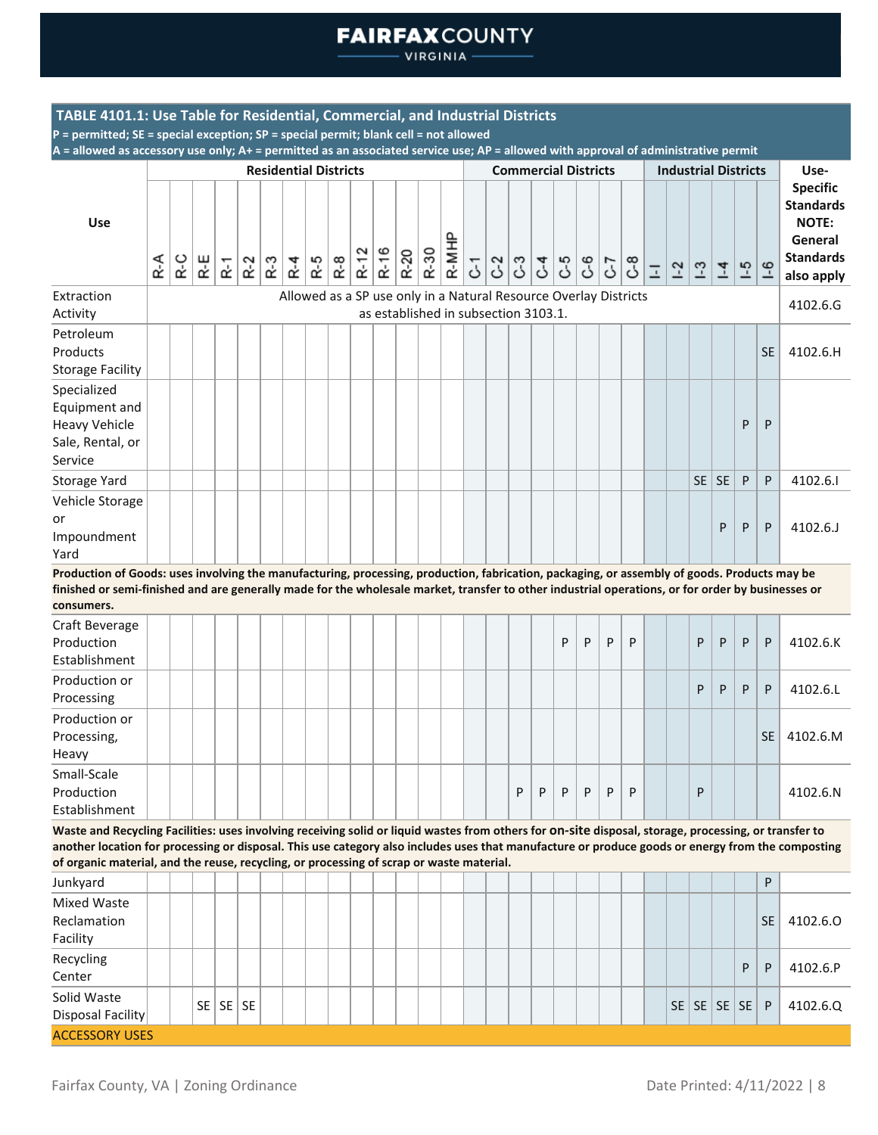VIRGINIA -

| TABLE 4101.1: Use Table for Residential, Commercial, and Industrial Districts                                                                                                                                                                                                                                                                                                                          |     |     |        |                |       |                              |         |     |                                                                  |          |      |        |      |       |                |               |                                      |   |    |   |    |                |                             |                              |                |      |              |                                                                                                  |
|--------------------------------------------------------------------------------------------------------------------------------------------------------------------------------------------------------------------------------------------------------------------------------------------------------------------------------------------------------------------------------------------------------|-----|-----|--------|----------------|-------|------------------------------|---------|-----|------------------------------------------------------------------|----------|------|--------|------|-------|----------------|---------------|--------------------------------------|---|----|---|----|----------------|-----------------------------|------------------------------|----------------|------|--------------|--------------------------------------------------------------------------------------------------|
| P = permitted; SE = special exception; SP = special permit; blank cell = not allowed<br>A = allowed as accessory use only; A+ = permitted as an associated service use; AP = allowed with approval of administrative permit                                                                                                                                                                            |     |     |        |                |       |                              |         |     |                                                                  |          |      |        |      |       |                |               |                                      |   |    |   |    |                |                             |                              |                |      |              |                                                                                                  |
|                                                                                                                                                                                                                                                                                                                                                                                                        |     |     |        |                |       | <b>Residential Districts</b> |         |     |                                                                  |          |      |        |      |       |                |               | <b>Commercial Districts</b>          |   |    |   |    |                | <b>Industrial Districts</b> |                              |                |      |              | Use-                                                                                             |
| <b>Use</b>                                                                                                                                                                                                                                                                                                                                                                                             | R-A | R-C | ⊬<br>∝ | 군              | $R-2$ | $R-3$                        | $R - 4$ | R-5 | $R-8$                                                            | $R - 12$ | R-16 | $R-20$ | R-30 | R-MHP | $\overline{c}$ | $\frac{1}{2}$ | $\mathcal{L}^4$                      | ය | 69 | 5 | 89 | $\overline{-}$ | $1-2$                       | $1-3$                        | $\overline{4}$ | $-5$ | $-6$         | <b>Specific</b><br><b>Standards</b><br><b>NOTE:</b><br>General<br><b>Standards</b><br>also apply |
| Extraction<br>Activity                                                                                                                                                                                                                                                                                                                                                                                 |     |     |        |                |       |                              |         |     | Allowed as a SP use only in a Natural Resource Overlay Districts |          |      |        |      |       |                |               | as established in subsection 3103.1. |   |    |   |    |                |                             |                              |                |      |              | 4102.6.G                                                                                         |
| Petroleum<br>Products<br><b>Storage Facility</b>                                                                                                                                                                                                                                                                                                                                                       |     |     |        |                |       |                              |         |     |                                                                  |          |      |        |      |       |                |               |                                      |   |    |   |    |                |                             |                              |                |      | <b>SE</b>    | 4102.6.H                                                                                         |
| Specialized<br>Equipment and<br><b>Heavy Vehicle</b><br>Sale, Rental, or<br>Service                                                                                                                                                                                                                                                                                                                    |     |     |        |                |       |                              |         |     |                                                                  |          |      |        |      |       |                |               |                                      |   |    |   |    |                |                             |                              |                | P    | P            |                                                                                                  |
| Storage Yard                                                                                                                                                                                                                                                                                                                                                                                           |     |     |        |                |       |                              |         |     |                                                                  |          |      |        |      |       |                |               |                                      |   |    |   |    |                |                             | SE                           | <b>SE</b>      | P    | P            | 4102.6.1                                                                                         |
| Vehicle Storage<br>or<br>Impoundment<br>Yard                                                                                                                                                                                                                                                                                                                                                           |     |     |        |                |       |                              |         |     |                                                                  |          |      |        |      |       |                |               |                                      |   |    |   |    |                |                             |                              | P              | P    | P            | 4102.6.J                                                                                         |
| Production of Goods: uses involving the manufacturing, processing, production, fabrication, packaging, or assembly of goods. Products may be<br>finished or semi-finished and are generally made for the wholesale market, transfer to other industrial operations, or for order by businesses or<br>consumers.                                                                                        |     |     |        |                |       |                              |         |     |                                                                  |          |      |        |      |       |                |               |                                      |   |    |   |    |                |                             |                              |                |      |              |                                                                                                  |
| Craft Beverage<br>Production<br>Establishment                                                                                                                                                                                                                                                                                                                                                          |     |     |        |                |       |                              |         |     |                                                                  |          |      |        |      |       |                |               |                                      | P | P  | P | P  |                |                             | P                            | P              | P    | P            | 4102.6.K                                                                                         |
| Production or<br>Processing                                                                                                                                                                                                                                                                                                                                                                            |     |     |        |                |       |                              |         |     |                                                                  |          |      |        |      |       |                |               |                                      |   |    |   |    |                |                             | P                            | P              | P    | P            | 4102.6.L                                                                                         |
| Production or<br>Processing,<br>Heavy                                                                                                                                                                                                                                                                                                                                                                  |     |     |        |                |       |                              |         |     |                                                                  |          |      |        |      |       |                |               |                                      |   |    |   |    |                |                             |                              |                |      | <b>SE</b>    | 4102.6.M                                                                                         |
| Small-Scale<br>Production<br>Establishment                                                                                                                                                                                                                                                                                                                                                             |     |     |        |                |       |                              |         |     |                                                                  |          |      |        |      |       |                | P             | P                                    | P | P  | P | P  |                |                             | P                            |                |      |              | 4102.6.N                                                                                         |
| Waste and Recycling Facilities: uses involving receiving solid or liquid wastes from others for On-site disposal, storage, processing, or transfer to<br>another location for processing or disposal. This use category also includes uses that manufacture or produce goods or energy from the composting<br>of organic material, and the reuse, recycling, or processing of scrap or waste material. |     |     |        |                |       |                              |         |     |                                                                  |          |      |        |      |       |                |               |                                      |   |    |   |    |                |                             |                              |                |      |              |                                                                                                  |
| Junkyard                                                                                                                                                                                                                                                                                                                                                                                               |     |     |        |                |       |                              |         |     |                                                                  |          |      |        |      |       |                |               |                                      |   |    |   |    |                |                             |                              |                |      | P            |                                                                                                  |
| Mixed Waste<br>Reclamation<br>Facility                                                                                                                                                                                                                                                                                                                                                                 |     |     |        |                |       |                              |         |     |                                                                  |          |      |        |      |       |                |               |                                      |   |    |   |    |                |                             |                              |                |      | <b>SE</b>    | 4102.6.0                                                                                         |
| Recycling<br>Center                                                                                                                                                                                                                                                                                                                                                                                    |     |     |        |                |       |                              |         |     |                                                                  |          |      |        |      |       |                |               |                                      |   |    |   |    |                |                             |                              |                | P    | P            | 4102.6.P                                                                                         |
| Solid Waste<br><b>Disposal Facility</b>                                                                                                                                                                                                                                                                                                                                                                |     |     |        | $SE$ $SE$ $SE$ |       |                              |         |     |                                                                  |          |      |        |      |       |                |               |                                      |   |    |   |    |                |                             | $SE \mid SE \mid SE \mid SE$ |                |      | $\mathsf{P}$ | 4102.6.Q                                                                                         |
| <b>ACCESSORY USES</b>                                                                                                                                                                                                                                                                                                                                                                                  |     |     |        |                |       |                              |         |     |                                                                  |          |      |        |      |       |                |               |                                      |   |    |   |    |                |                             |                              |                |      |              |                                                                                                  |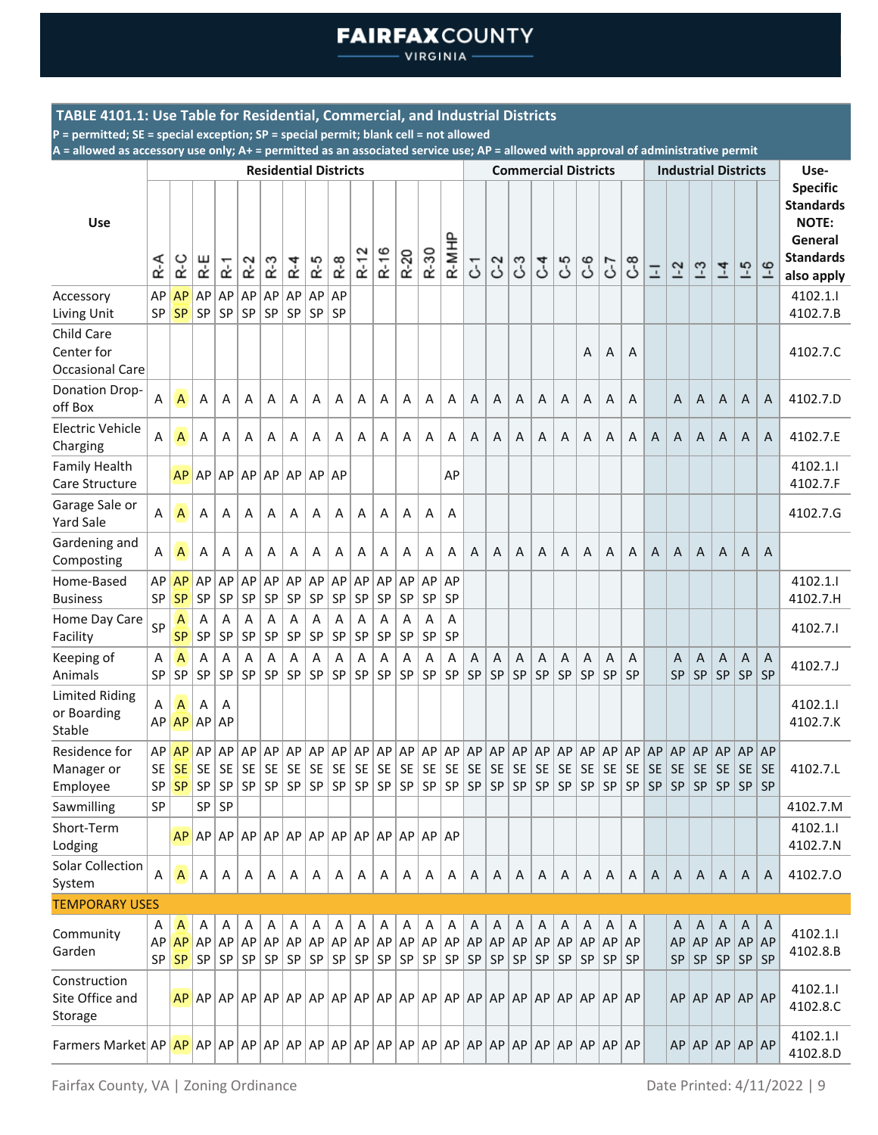**VIRGINIA** 

### **TABLE 4101.1: Use Table for Residential, Commercial, and Industrial Districts**

**P = permitted; SE = special exception; SP = special permit; blank cell = not allowed**

|                                                |                              |                                     |                              |                               |                       |                              | <b>Residential Districts</b> |                       |                       |                         |                       |                       |                       |                       |                       |                  |                       |                       | <b>Commercial Districts</b> |                              |                       |                              |                                     |                                     | <b>Industrial Districts</b>      |                              |                              |                              | Use-                                                                                             |
|------------------------------------------------|------------------------------|-------------------------------------|------------------------------|-------------------------------|-----------------------|------------------------------|------------------------------|-----------------------|-----------------------|-------------------------|-----------------------|-----------------------|-----------------------|-----------------------|-----------------------|------------------|-----------------------|-----------------------|-----------------------------|------------------------------|-----------------------|------------------------------|-------------------------------------|-------------------------------------|----------------------------------|------------------------------|------------------------------|------------------------------|--------------------------------------------------------------------------------------------------|
| <b>Use</b>                                     | R-A                          | R-C                                 | R-E                          | $\overline{\phantom{0}}$<br>¢ | $\sim$<br>¢           | ო<br>œ                       | $R - 4$                      | R-5                   | $R-8$                 | $\sim$<br>$\ddot{R}$ -1 | R-16                  | R-20                  | R-30                  | 운<br>$R-MI$           | 5                     | 3                | 3                     | 54                    | 59                          | 69                           | 7                     | 8ع                           | Ξ                                   | $1-2$                               | $\frac{1}{2}$                    | $\overline{1}$               | $-5$                         | $-6$                         | <b>Specific</b><br><b>Standards</b><br><b>NOTE:</b><br>General<br><b>Standards</b><br>also apply |
| Accessory<br>Living Unit                       | AP<br>SP                     | AP<br><b>SP</b>                     | AP<br>SP                     | AP<br>SP                      | AP<br>SP              | AP<br>SP                     | AP<br>SP                     | AP<br>SP              | AP<br>SP              |                         |                       |                       |                       |                       |                       |                  |                       |                       |                             |                              |                       |                              |                                     |                                     |                                  |                              |                              |                              | 4102.1.1<br>4102.7.B                                                                             |
| Child Care<br>Center for<br>Occasional Care    |                              |                                     |                              |                               |                       |                              |                              |                       |                       |                         |                       |                       |                       |                       |                       |                  |                       |                       |                             | Α                            | Α                     | A                            |                                     |                                     |                                  |                              |                              |                              | 4102.7.C                                                                                         |
| Donation Drop-<br>off Box                      | Α                            | $\mathsf{A}$                        | Α                            | A                             | Α                     | Α                            | Α                            | A                     | Α                     | Α                       | Α                     | Α                     | Α                     | Α                     | A                     | Α                | Α                     | A                     | A                           | Α                            | A                     | A                            |                                     | A                                   | A                                | Α                            | A                            | A                            | 4102.7.D                                                                                         |
| Electric Vehicle<br>Charging                   | Α                            | $\mathsf{A}$                        | Α                            | Α                             | Α                     | Α                            | Α                            | Α                     | A                     | Α                       | Α                     | Α                     | Α                     | Α                     | A                     | A                | A                     | A                     | Α                           | Α                            | Α                     | A                            | Α                                   | A                                   | A                                | A                            | A                            | A                            | 4102.7.E                                                                                         |
| <b>Family Health</b><br>Care Structure         |                              | AP                                  | AP                           | AP                            | AP                    | AP                           | AP                           | AP                    | AP                    |                         |                       |                       |                       | ΑP                    |                       |                  |                       |                       |                             |                              |                       |                              |                                     |                                     |                                  |                              |                              |                              | 4102.1.I<br>4102.7.F                                                                             |
| Garage Sale or<br>Yard Sale                    | Α                            | $\mathsf{A}$                        | Α                            | Α                             | A                     | A                            | A                            | A                     | A                     | A                       | A                     | A                     | A                     | A                     |                       |                  |                       |                       |                             |                              |                       |                              |                                     |                                     |                                  |                              |                              |                              | 4102.7.G                                                                                         |
| Gardening and<br>Composting                    | Α                            | $\mathsf{A}$                        | Α                            | Α                             | Α                     | Α                            | Α                            | Α                     | A                     | Α                       | Α                     | Α                     | Α                     | Α                     | A                     | A                | A                     | A                     | A                           | Α                            | A                     | A                            | A                                   | A                                   | A                                | A                            | A                            | A                            |                                                                                                  |
| Home-Based<br><b>Business</b>                  | AP<br>SP                     | AP<br><b>SP</b>                     | AP<br>SP                     | AP<br>SP                      | AP<br>SP              | AP<br>SP                     | AP<br>SP                     | AP<br>SP              | AP<br>SP              | AP<br>SP                | AP<br>SP              | AP<br>SP              | AP<br>SP              | AP<br>SP              |                       |                  |                       |                       |                             |                              |                       |                              |                                     |                                     |                                  |                              |                              |                              | 4102.1.1<br>4102.7.H                                                                             |
| Home Day Care<br>Facility                      | SP                           | A<br><b>SP</b>                      | A<br>SP                      | Α<br>SP                       | Α<br>SP               | Α<br>SP                      | A<br>SP                      | A<br>SP               | Α<br><b>SP</b>        | Α<br>SP                 | Α<br>SP               | A<br>SP               | A<br>SP               | Α<br>SP               |                       |                  |                       |                       |                             |                              |                       |                              |                                     |                                     |                                  |                              |                              |                              | 4102.7.1                                                                                         |
| Keeping of<br>Animals                          | Α<br>SP                      | A<br>SP                             | A<br>SP                      | Α<br>SP                       | Α<br>SP               | Α<br>SP                      | Α<br>SP                      | Α<br>SP               | Α<br>SP               | Α<br>SP                 | Α<br>SP               | Α<br>SP               | Α<br>SP               | Α<br>SP               | A<br>SP               | Α<br>SP          | A<br><b>SP</b>        | A<br>SP               | A<br>SP                     | Α<br>SP                      | A<br>SP               | A<br>SP                      |                                     | A<br><b>SP</b>                      | A<br>SP                          | A<br>SP                      | Α<br>SP                      | A<br>SP                      | 4102.7.J                                                                                         |
| <b>Limited Riding</b><br>or Boarding<br>Stable | Α<br>AP                      | A<br>AP                             | A<br>AP                      | Α<br>AP                       |                       |                              |                              |                       |                       |                         |                       |                       |                       |                       |                       |                  |                       |                       |                             |                              |                       |                              |                                     |                                     |                                  |                              |                              |                              | 4102.1.1<br>4102.7.K                                                                             |
| Residence for<br>Manager or<br>Employee        | AP<br><b>SE</b><br><b>SP</b> | <b>AP</b><br><b>SE</b><br><b>SP</b> | AP<br><b>SE</b><br><b>SP</b> | AP<br><b>SE</b><br>SP         | AP<br><b>SE</b><br>SP | AP<br><b>SE</b><br><b>SP</b> | AP<br>SE  <br>SP             | AP<br><b>SE</b><br>SP | AP<br><b>SE</b><br>SP | AP<br><b>SE</b><br>SP   | AP<br><b>SE</b><br>SP | AP<br><b>SE</b><br>SP | AP<br><b>SE</b><br>SP | AP<br><b>SE</b><br>SP | AP<br><b>SE</b><br>SP | AP<br> SE<br> SP | AP<br><b>SE</b><br>SP | AP<br><b>SE</b><br>SP | AP<br><b>SE</b><br>SP       | AP<br><b>SE</b><br><b>SP</b> | AP<br><b>SE</b><br>SP | AP<br><b>SE</b><br><b>SP</b> | <b>AP</b><br><b>SE</b><br><b>SP</b> | <b>AP</b><br><b>SE</b><br><b>SP</b> | AP<br><b>SE</b><br><b>SP</b>     | AP<br><b>SE</b><br><b>SP</b> | AP<br><b>SE</b><br><b>SP</b> | AP<br><b>SE</b><br><b>SP</b> | 4102.7.L                                                                                         |
| Sawmilling                                     | SP                           |                                     | SP                           | SP                            |                       |                              |                              |                       |                       |                         |                       |                       |                       |                       |                       |                  |                       |                       |                             |                              |                       |                              |                                     |                                     |                                  |                              |                              |                              | 4102.7.M                                                                                         |
| Short-Term<br>Lodging                          |                              | AP.                                 |                              |                               |                       |                              |                              |                       |                       |                         |                       |                       |                       | AP                    |                       |                  |                       |                       |                             |                              |                       |                              |                                     |                                     |                                  |                              |                              |                              | 4102.1.1<br>4102.7.N                                                                             |
| Solar Collection<br>System                     | Α                            | $\mathsf{A}$                        | Α                            | Α                             | A                     | A                            | A                            | Α                     | A                     | Α                       | Α                     | Α                     | A                     | A                     | A                     | A                | A                     | A                     | A                           | A                            | A                     | A                            | A                                   | A                                   | A                                | A                            | A                            | A                            | 4102.7.0                                                                                         |
| <b>TEMPORARY USES</b>                          |                              |                                     |                              |                               |                       |                              |                              |                       |                       |                         |                       |                       |                       |                       |                       |                  |                       |                       |                             |                              |                       |                              |                                     |                                     |                                  |                              |                              |                              |                                                                                                  |
| Community<br>Garden                            | A<br>AP<br>SP                | A<br><b>AP</b><br><b>SP</b>         | Α<br>AP<br>SP                | Α<br>AP<br>SP                 | Α<br>AP<br><b>SP</b>  | A<br><b>SP</b>               | Α<br>$AP$ $AP$ $AP$<br>SP    | Α<br>SP               | A<br>AP<br>SP         | Α<br>AP<br>SP           | Α<br>AP<br>SP         | Α<br>AP<br>SP         | Α<br><b>AP</b><br>SP  | Α<br>AP<br>SP         | A<br>AP<br>SP         | A<br>AP<br>SP    | A<br>AP<br><b>SP</b>  | Α<br>AP<br><b>SP</b>  | A<br>AP<br>SP               | A<br>AP<br>SP                | Α<br>AP<br><b>SP</b>  | A<br>AP<br><b>SP</b>         |                                     | A<br>AP<br><b>SP</b>                | A<br>$AP$ $AP$ $AP$<br><b>SP</b> | A<br>SP                      | A<br>SP                      | A<br>AP<br><b>SP</b>         | 4102.1.1<br>4102.8.B                                                                             |
| Construction<br>Site Office and<br>Storage     |                              | AP.                                 |                              | $AP$ $AP$ $AP$                |                       |                              |                              |                       |                       |                         |                       |                       |                       |                       |                       |                  |                       |                       |                             |                              |                       |                              |                                     | AP                                  | AP AP AP AP                      |                              |                              |                              | 4102.1.1<br>4102.8.C                                                                             |
| Farmers Market AP <b>AP</b> AP AP AP           |                              |                                     |                              |                               |                       |                              |                              |                       |                       |                         |                       |                       |                       |                       |                       |                  |                       |                       |                             | AP                           | $AP$ AP               |                              |                                     | AP                                  | $ AP$ $AP$ $AP$ $AP$ $AP$        |                              |                              |                              | 4102.1.1<br>4102.8.D                                                                             |